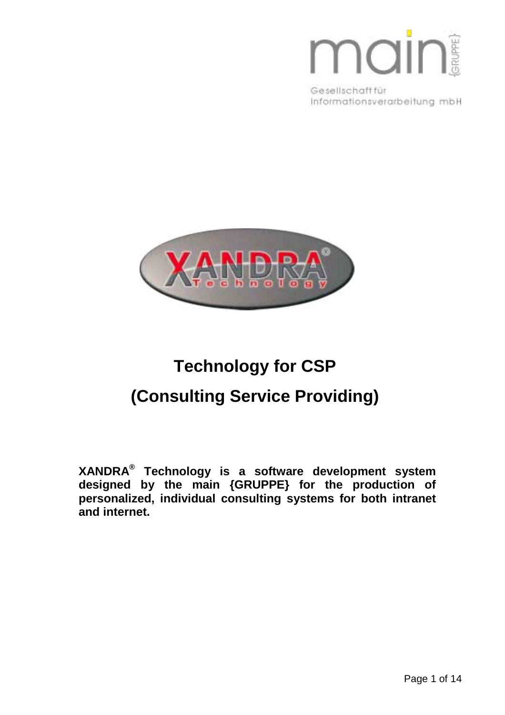# main

Gesellschaft für Informationsverarbeitung mbH



## **Technology for CSP (Consulting Service Providing)**

**XANDRA® Technology is a software development system designed by the main {GRUPPE} for the production of personalized, individual consulting systems for both intranet and internet.**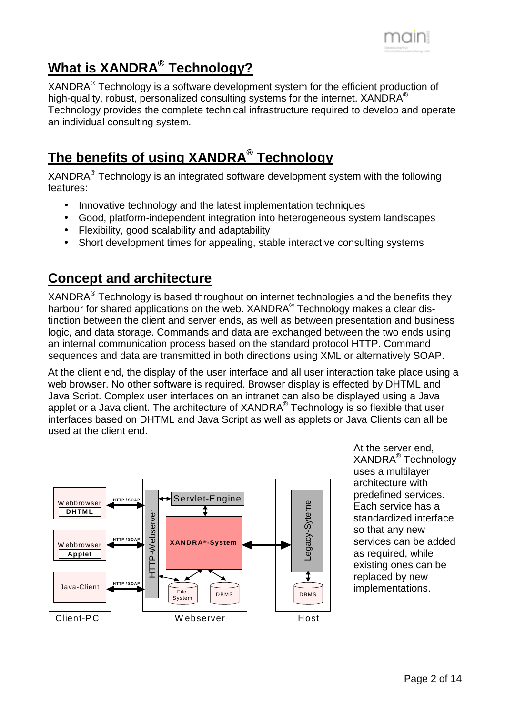

## **What is XANDRA® Technology?**

XANDRA® Technology is a software development system for the efficient production of high-quality, robust, personalized consulting systems for the internet.  $XANDRA^{\circledcirc}$ Technology provides the complete technical infrastructure required to develop and operate an individual consulting system.

## **The benefits of using XANDRA® Technology**

XANDRA® Technology is an integrated software development system with the following features:

- Innovative technology and the latest implementation techniques
- Good, platform-independent integration into heterogeneous system landscapes
- Flexibility, good scalability and adaptability
- Short development times for appealing, stable interactive consulting systems

## **Concept and architecture**

XANDRA® Technology is based throughout on internet technologies and the benefits they harbour for shared applications on the web. XANDRA<sup>®</sup> Technology makes a clear distinction between the client and server ends, as well as between presentation and business logic, and data storage. Commands and data are exchanged between the two ends using an internal communication process based on the standard protocol HTTP. Command sequences and data are transmitted in both directions using XML or alternatively SOAP.

At the client end, the display of the user interface and all user interaction take place using a web browser. No other software is required. Browser display is effected by DHTML and Java Script. Complex user interfaces on an intranet can also be displayed using a Java applet or a Java client. The architecture of XANDRA<sup>®</sup> Technology is so flexible that user interfaces based on DHTML and Java Script as well as applets or Java Clients can all be used at the client end.



At the server end, XANDRA® Technology uses a multilayer architecture with predefined services. Each service has a standardized interface so that any new services can be added as required, while existing ones can be replaced by new implementations.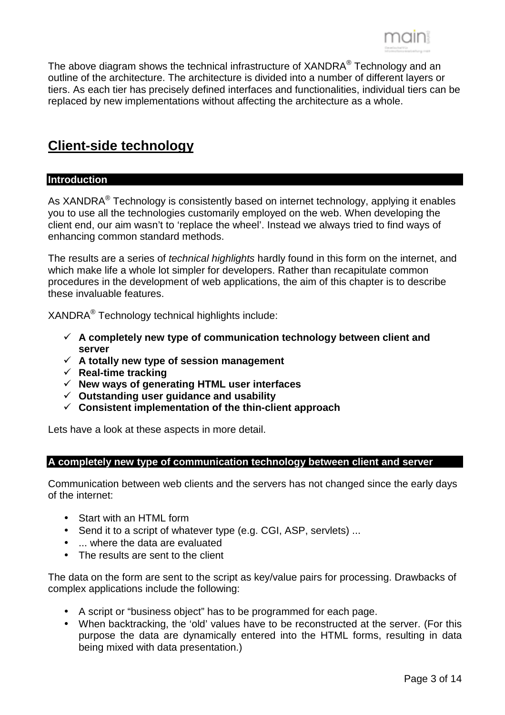

The above diagram shows the technical infrastructure of XANDRA<sup>®</sup> Technology and an outline of the architecture. The architecture is divided into a number of different layers or tiers. As each tier has precisely defined interfaces and functionalities, individual tiers can be replaced by new implementations without affecting the architecture as a whole.

## **Client-side technology**

#### **Introduction**

As XANDRA<sup>®</sup> Technology is consistently based on internet technology, applying it enables you to use all the technologies customarily employed on the web. When developing the client end, our aim wasn't to 'replace the wheel'. Instead we always tried to find ways of enhancing common standard methods.

The results are a series of *technical highlights* hardly found in this form on the internet, and which make life a whole lot simpler for developers. Rather than recapitulate common procedures in the development of web applications, the aim of this chapter is to describe these invaluable features.

XANDRA® Technology technical highlights include:

- ! **A completely new type of communication technology between client and server**
- $\checkmark$  A totally new type of session management
- ! **Real-time tracking**
- ! **New ways of generating HTML user interfaces**
- ! **Outstanding user guidance and usability**
- ! **Consistent implementation of the thin-client approach**

Lets have a look at these aspects in more detail.

#### **A completely new type of communication technology between client and server**

Communication between web clients and the servers has not changed since the early days of the internet:

- Start with an HTML form
- Send it to a script of whatever type (e.g. CGI, ASP, servlets) ...
- ... where the data are evaluated
- The results are sent to the client

The data on the form are sent to the script as key/value pairs for processing. Drawbacks of complex applications include the following:

- A script or "business object" has to be programmed for each page.
- When backtracking, the 'old' values have to be reconstructed at the server. (For this purpose the data are dynamically entered into the HTML forms, resulting in data being mixed with data presentation.)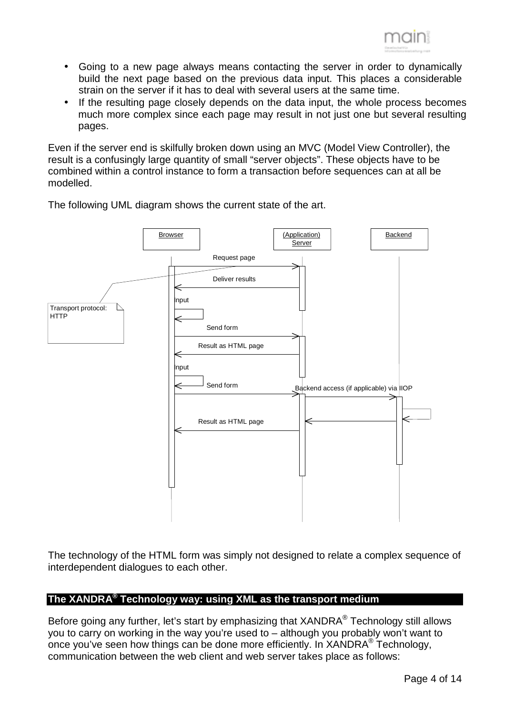

- Going to a new page always means contacting the server in order to dynamically build the next page based on the previous data input. This places a considerable strain on the server if it has to deal with several users at the same time.
- If the resulting page closely depends on the data input, the whole process becomes much more complex since each page may result in not just one but several resulting pages.

Even if the server end is skilfully broken down using an MVC (Model View Controller), the result is a confusingly large quantity of small "server objects". These objects have to be combined within a control instance to form a transaction before sequences can at all be modelled.



The following UML diagram shows the current state of the art.

The technology of the HTML form was simply not designed to relate a complex sequence of interdependent dialogues to each other.

#### **The XANDRA® Technology way: using XML as the transport medium**

Before going any further, let's start by emphasizing that XANDRA<sup>®</sup> Technology still allows you to carry on working in the way you're used to – although you probably won't want to once you've seen how things can be done more efficiently. In XANDRA® Technology, communication between the web client and web server takes place as follows: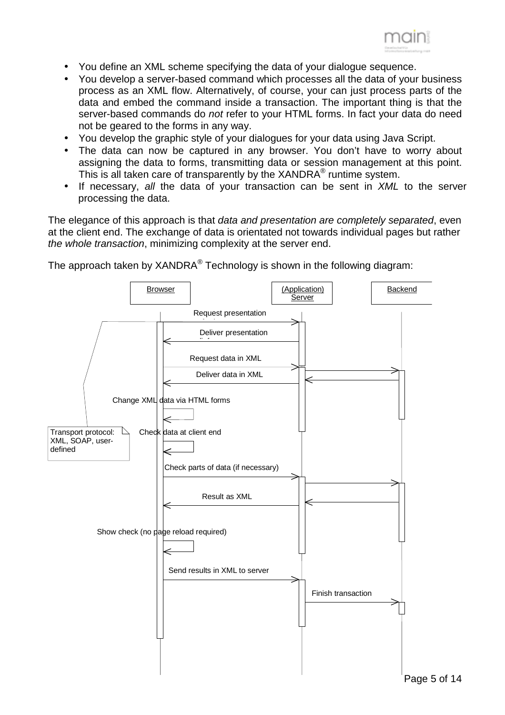

- You define an XML scheme specifying the data of your dialogue sequence.
- You develop a server-based command which processes all the data of your business process as an XML flow. Alternatively, of course, your can just process parts of the data and embed the command inside a transaction. The important thing is that the server-based commands do *not* refer to your HTML forms. In fact your data do need not be geared to the forms in any way.
- You develop the graphic style of your dialogues for your data using Java Script.
- The data can now be captured in any browser. You don't have to worry about assigning the data to forms, transmitting data or session management at this point. This is all taken care of transparently by the XANDRA® runtime system.
- If necessary, *all* the data of your transaction can be sent in *XML* to the server processing the data.

The elegance of this approach is that *data and presentation are completely separated*, even at the client end. The exchange of data is orientated not towards individual pages but rather *the whole transaction*, minimizing complexity at the server end.

The approach taken by  $XANDRA^{\circledcirc}$  Technology is shown in the following diagram:

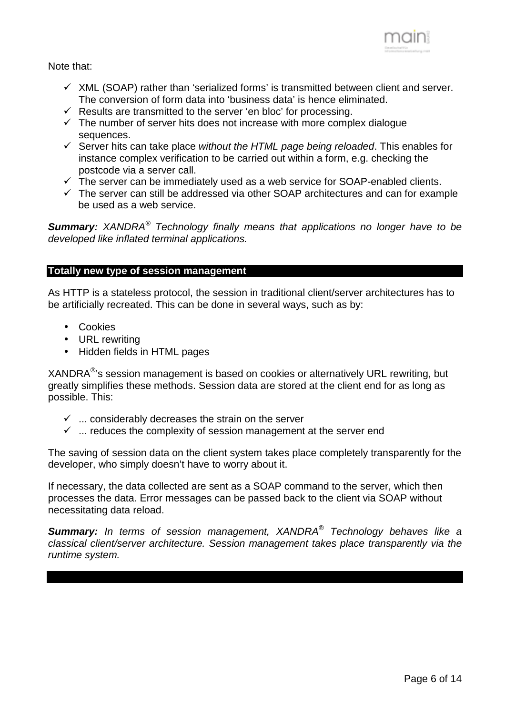

Note that:

- $\checkmark$  XML (SOAP) rather than 'serialized forms' is transmitted between client and server. The conversion of form data into 'business data' is hence eliminated.
- $\checkmark$  Results are transmitted to the server 'en bloc' for processing.
- $\checkmark$  The number of server hits does not increase with more complex dialogue sequences.
- ! Server hits can take place *without the HTML page being reloaded*. This enables for instance complex verification to be carried out within a form, e.g. checking the postcode via a server call.
- $\checkmark$  The server can be immediately used as a web service for SOAP-enabled clients.
- $\checkmark$  The server can still be addressed via other SOAP architectures and can for example be used as a web service.

*Summary: XANDRA® Technology finally means that applications no longer have to be developed like inflated terminal applications.* 

#### **Totally new type of session management**

As HTTP is a stateless protocol, the session in traditional client/server architectures has to be artificially recreated. This can be done in several ways, such as by:

- Cookies
- URL rewriting
- Hidden fields in HTML pages

XANDRA®'s session management is based on cookies or alternatively URL rewriting, but greatly simplifies these methods. Session data are stored at the client end for as long as possible. This:

- $\checkmark$  ... considerably decreases the strain on the server
- $\checkmark$  ... reduces the complexity of session management at the server end

The saving of session data on the client system takes place completely transparently for the developer, who simply doesn't have to worry about it.

If necessary, the data collected are sent as a SOAP command to the server, which then processes the data. Error messages can be passed back to the client via SOAP without necessitating data reload.

*Summary: In terms of session management, XANDRA® Technology behaves like a classical client/server architecture. Session management takes place transparently via the runtime system.*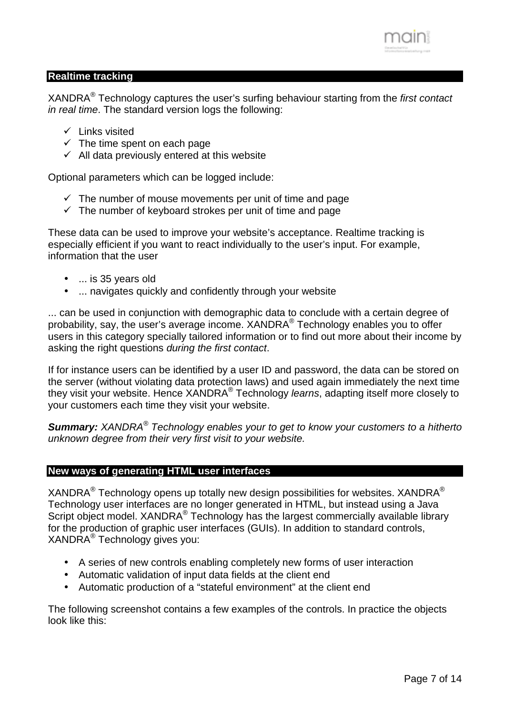

#### **Realtime tracking**

XANDRA® Technology captures the user's surfing behaviour starting from the *first contact in real time*. The standard version logs the following:

- $\checkmark$  Links visited
- $\checkmark$  The time spent on each page
- $\checkmark$  All data previously entered at this website

Optional parameters which can be logged include:

- $\checkmark$  The number of mouse movements per unit of time and page
- $\checkmark$  The number of keyboard strokes per unit of time and page

These data can be used to improve your website's acceptance. Realtime tracking is especially efficient if you want to react individually to the user's input. For example, information that the user

- ... is 35 years old
- ... navigates quickly and confidently through your website

... can be used in conjunction with demographic data to conclude with a certain degree of probability, say, the user's average income. XANDRA® Technology enables you to offer users in this category specially tailored information or to find out more about their income by asking the right questions *during the first contact*.

If for instance users can be identified by a user ID and password, the data can be stored on the server (without violating data protection laws) and used again immediately the next time they visit your website. Hence XANDRA® Technology *learns*, adapting itself more closely to your customers each time they visit your website.

*Summary: XANDRA® Technology enables your to get to know your customers to a hitherto unknown degree from their very first visit to your website.*

#### **New ways of generating HTML user interfaces**

XANDRA<sup>®</sup> Technology opens up totally new design possibilities for websites. XANDRA<sup>®</sup> Technology user interfaces are no longer generated in HTML, but instead using a Java Script object model. XANDRA<sup>®</sup> Technology has the largest commercially available library for the production of graphic user interfaces (GUIs). In addition to standard controls, XANDRA® Technology gives you:

- A series of new controls enabling completely new forms of user interaction
- Automatic validation of input data fields at the client end
- Automatic production of a "stateful environment" at the client end

The following screenshot contains a few examples of the controls. In practice the objects look like this: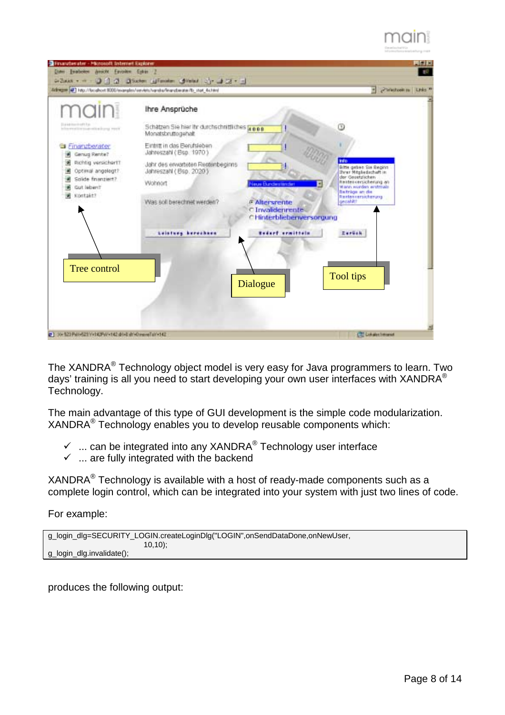



The XANDRA® Technology object model is very easy for Java programmers to learn. Two days' training is all you need to start developing your own user interfaces with XANDRA® Technology.

The main advantage of this type of GUI development is the simple code modularization. XANDRA® Technology enables you to develop reusable components which:

- $\checkmark$  ... can be integrated into any XANDRA<sup>®</sup> Technology user interface
- $\checkmark$  ... are fully integrated with the backend

XANDRA® Technology is available with a host of ready-made components such as a complete login control, which can be integrated into your system with just two lines of code.

For example:

```
g_login_dlg=SECURITY_LOGIN.createLoginDlg("LOGIN",onSendDataDone,onNewUser, 
                           10,10); 
g_login_dlg.invalidate();
```
produces the following output: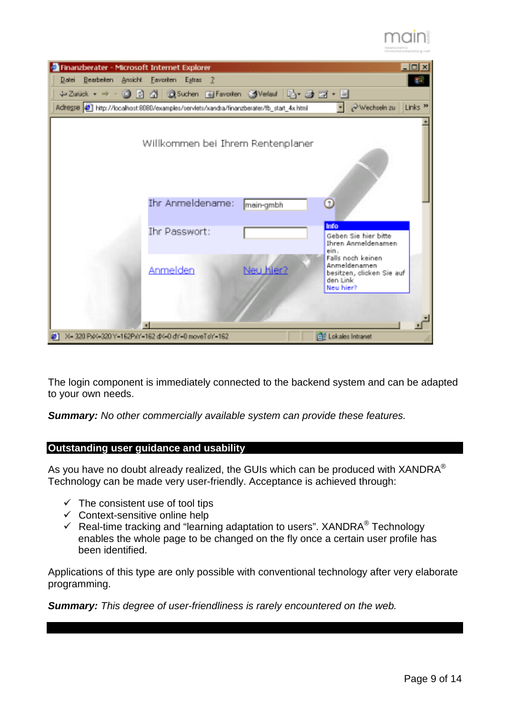



The login component is immediately connected to the backend system and can be adapted to your own needs.

*Summary: No other commercially available system can provide these features.*

#### **Outstanding user guidance and usability**

As you have no doubt already realized, the GUIs which can be produced with  $XANDRA^@$ Technology can be made very user-friendly. Acceptance is achieved through:

- $\checkmark$  The consistent use of tool tips
- $\checkmark$  Context-sensitive online help
- $\checkmark$  Real-time tracking and "learning adaptation to users". XANDRA<sup>®</sup> Technology enables the whole page to be changed on the fly once a certain user profile has been identified.

Applications of this type are only possible with conventional technology after very elaborate programming.

*Summary: This degree of user-friendliness is rarely encountered on the web.*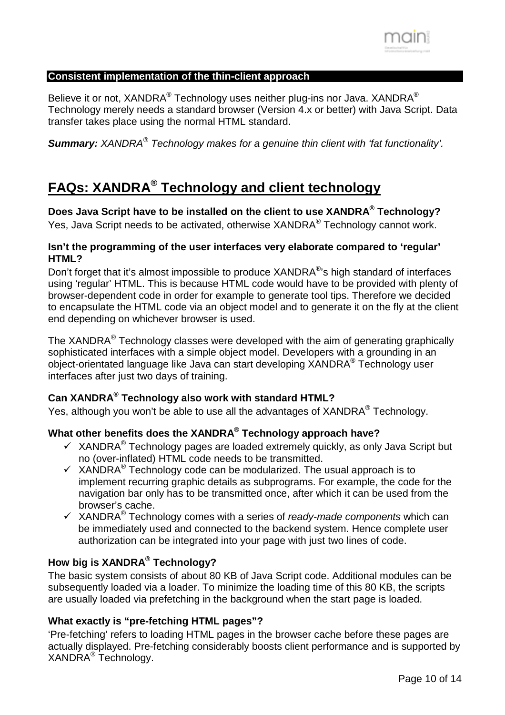

#### **Consistent implementation of the thin-client approach**

Believe it or not, XANDRA® Technology uses neither plug-ins nor Java. XANDRA® Technology merely needs a standard browser (Version 4.x or better) with Java Script. Data transfer takes place using the normal HTML standard.

*Summary: XANDRA® Technology makes for a genuine thin client with 'fat functionality'.* 

## **FAQs: XANDRA® Technology and client technology**

**Does Java Script have to be installed on the client to use XANDRA® Technology?**  Yes, Java Script needs to be activated, otherwise XANDRA® Technology cannot work.

#### **Isn't the programming of the user interfaces very elaborate compared to 'regular' HTML?**

Don't forget that it's almost impossible to produce XANDRA<sup>®</sup>'s high standard of interfaces using 'regular' HTML. This is because HTML code would have to be provided with plenty of browser-dependent code in order for example to generate tool tips. Therefore we decided to encapsulate the HTML code via an object model and to generate it on the fly at the client end depending on whichever browser is used.

The XANDRA® Technology classes were developed with the aim of generating graphically sophisticated interfaces with a simple object model. Developers with a grounding in an object-orientated language like Java can start developing XANDRA® Technology user interfaces after just two days of training.

#### **Can XANDRA® Technology also work with standard HTML?**

Yes, although you won't be able to use all the advantages of XANDRA® Technology.

#### **What other benefits does the XANDRA® Technology approach have?**

- $\checkmark$  XANDRA<sup>®</sup> Technology pages are loaded extremely quickly, as only Java Script but no (over-inflated) HTML code needs to be transmitted.
- $\checkmark$  XANDRA<sup>®</sup> Technology code can be modularized. The usual approach is to implement recurring graphic details as subprograms. For example, the code for the navigation bar only has to be transmitted once, after which it can be used from the browser's cache.
- $\checkmark$  XANDRA<sup>®</sup> Technology comes with a series of *ready-made components* which can be immediately used and connected to the backend system. Hence complete user authorization can be integrated into your page with just two lines of code.

#### **How big is XANDRA® Technology?**

The basic system consists of about 80 KB of Java Script code. Additional modules can be subsequently loaded via a loader. To minimize the loading time of this 80 KB, the scripts are usually loaded via prefetching in the background when the start page is loaded.

#### **What exactly is "pre-fetching HTML pages"?**

'Pre-fetching' refers to loading HTML pages in the browser cache before these pages are actually displayed. Pre-fetching considerably boosts client performance and is supported by XANDRA® Technology.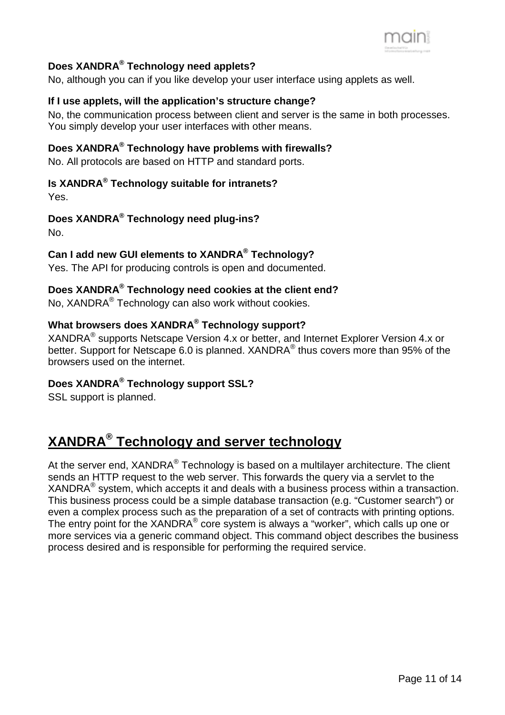

#### **Does XANDRA® Technology need applets?**

No, although you can if you like develop your user interface using applets as well.

#### **If I use applets, will the application's structure change?**

No, the communication process between client and server is the same in both processes. You simply develop your user interfaces with other means.

### **Does XANDRA® Technology have problems with firewalls?**

No. All protocols are based on HTTP and standard ports.

#### **Is XANDRA® Technology suitable for intranets?**

Yes.

#### **Does XANDRA® Technology need plug-ins?**

No.

#### **Can I add new GUI elements to XANDRA® Technology?**

Yes. The API for producing controls is open and documented.

#### **Does XANDRA® Technology need cookies at the client end?**

No, XANDRA® Technology can also work without cookies.

#### **What browsers does XANDRA® Technology support?**

XANDRA® supports Netscape Version 4.x or better, and Internet Explorer Version 4.x or better. Support for Netscape 6.0 is planned. XANDRA<sup>®</sup> thus covers more than 95% of the browsers used on the internet.

#### **Does XANDRA® Technology support SSL?**

SSL support is planned.

## **XANDRA® Technology and server technology**

At the server end, XANDRA® Technology is based on a multilayer architecture. The client sends an HTTP request to the web server. This forwards the query via a servlet to the XANDRA® system, which accepts it and deals with a business process within a transaction. This business process could be a simple database transaction (e.g. "Customer search") or even a complex process such as the preparation of a set of contracts with printing options. The entry point for the  $XANDRA^{\circledcirc}$  core system is always a "worker", which calls up one or more services via a generic command object. This command object describes the business process desired and is responsible for performing the required service.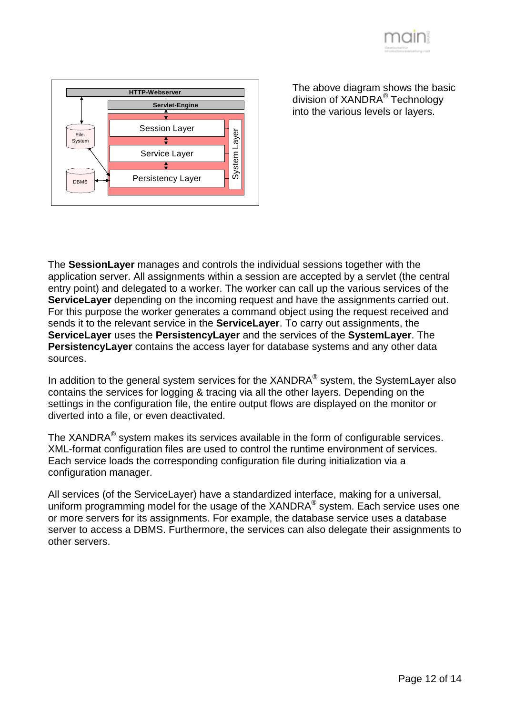



The above diagram shows the basic division of XANDRA® Technology into the various levels or layers.

The **SessionLayer** manages and controls the individual sessions together with the application server. All assignments within a session are accepted by a servlet (the central entry point) and delegated to a worker. The worker can call up the various services of the **ServiceLayer** depending on the incoming request and have the assignments carried out. For this purpose the worker generates a command object using the request received and sends it to the relevant service in the **ServiceLayer**. To carry out assignments, the **ServiceLayer** uses the **PersistencyLayer** and the services of the **SystemLayer**. The **PersistencyLayer** contains the access layer for database systems and any other data sources.

In addition to the general system services for the  $XANDRA^{\circledcirc}$  system, the System Layer also contains the services for logging & tracing via all the other layers. Depending on the settings in the configuration file, the entire output flows are displayed on the monitor or diverted into a file, or even deactivated.

The XANDR $A^{\circledR}$  system makes its services available in the form of configurable services. XML-format configuration files are used to control the runtime environment of services. Each service loads the corresponding configuration file during initialization via a configuration manager.

All services (of the ServiceLayer) have a standardized interface, making for a universal, uniform programming model for the usage of the XANDRA<sup>®</sup> system. Each service uses one or more servers for its assignments. For example, the database service uses a database server to access a DBMS. Furthermore, the services can also delegate their assignments to other servers.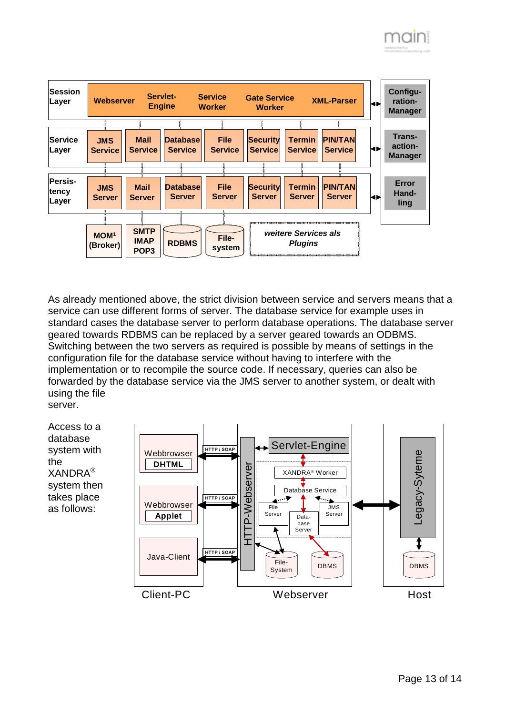

As already mentioned above, the strict division between service and servers means that a service can use different forms of server. The database service for example uses in standard cases the database server to perform database operations. The database server geared towards RDBMS can be replaced by a server geared towards an ODBMS. Switching between the two servers as required is possible by means of settings in the configuration file for the database service without having to interfere with the implementation or to recompile the source code. If necessary, queries can also be forwarded by the database service via the JMS server to another system, or dealt with using the file server.

Access to a database system with the XANDRA® system then takes place as follows: